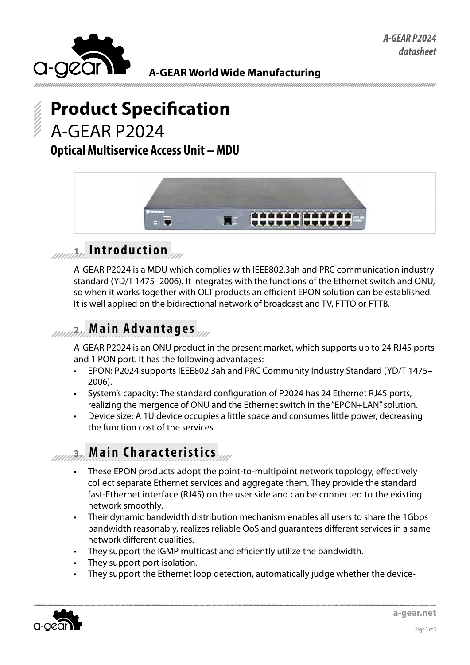

**A-GEAR World Wide Manufacturing**

# **Product Specification** A-GEAR P2024

### **Optical Multiservice Access Unit – MDU**



## **1. I n t r o d u c t i o n**

A-GEAR P2024 is a MDU which complies with IEEE802.3ah and PRC communication industry standard (YD/T 1475–2006). It integrates with the functions of the Ethernet switch and ONU, so when it works together with OLT products an efficient EPON solution can be established. It is well applied on the bidirectional network of broadcast and TV, FTTO or FTTB.

### **2. Main Advantages**

A-GEAR P2024 is an ONU product in the present market, which supports up to 24 RJ45 ports and 1 PON port. It has the following advantages:

- EPON: P2024 supports IEEE802.3ah and PRC Community Industry Standard (YD/T 1475– 2006).
- System's capacity: The standard configuration of P2024 has 24 Ethernet RJ45 ports, realizing the mergence of ONU and the Ethernet switch in the "EPON+LAN" solution.
- Device size: A 1U device occupies a little space and consumes little power, decreasing the function cost of the services.

### *Allanda***</del> Main Characteristics**

- These EPON products adopt the point-to-multipoint network topology, effectively collect separate Ethernet services and aggregate them. They provide the standard fast-Ethernet interface (RJ45) on the user side and can be connected to the existing network smoothly.
- Their dynamic bandwidth distribution mechanism enables all users to share the 1Gbps bandwidth reasonably, realizes reliable QoS and guarantees different services in a same network different qualities.
- They support the IGMP multicast and efficiently utilize the bandwidth.
- They support port isolation.
- They support the Ethernet loop detection, automatically judge whether the device-

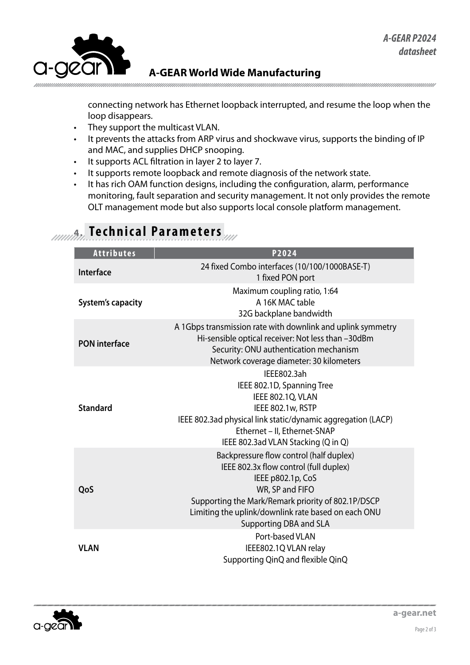

#### **A-GEAR World Wide Manufacturing**

connecting network has Ethernet loopback interrupted, and resume the loop when the loop disappears.

- • They support the multicast VLAN.
- It prevents the attacks from ARP virus and shockwave virus, supports the binding of IP and MAC, and supplies DHCP snooping.
- • It supports ACL filtration in layer 2 to layer 7.
- It supports remote loopback and remote diagnosis of the network state.
- It has rich OAM function designs, including the configuration, alarm, performance monitoring, fault separation and security management. It not only provides the remote OLT management mode but also supports local console platform management.

| <b>Attributes</b>        | P2024                                                                                                                                                                                                                                                            |
|--------------------------|------------------------------------------------------------------------------------------------------------------------------------------------------------------------------------------------------------------------------------------------------------------|
| Interface                | 24 fixed Combo interfaces (10/100/1000BASE-T)<br>1 fixed PON port                                                                                                                                                                                                |
| <b>System's capacity</b> | Maximum coupling ratio, 1:64<br>A 16K MAC table<br>32G backplane bandwidth                                                                                                                                                                                       |
| <b>PON</b> interface     | A 1Gbps transmission rate with downlink and uplink symmetry<br>Hi-sensible optical receiver: Not less than -30dBm<br>Security: ONU authentication mechanism<br>Network coverage diameter: 30 kilometers                                                          |
| <b>Standard</b>          | IEEE802.3ah<br>IEEE 802.1D, Spanning Tree<br>IEEE 802.1Q, VLAN<br>IEEE 802.1w, RSTP<br>IEEE 802.3ad physical link static/dynamic aggregation (LACP)<br>Ethernet - II, Ethernet-SNAP<br>IEEE 802.3ad VLAN Stacking (Q in Q)                                       |
| QoS                      | Backpressure flow control (half duplex)<br>IEEE 802.3x flow control (full duplex)<br>IEEE p802.1p, CoS<br>WR, SP and FIFO<br>Supporting the Mark/Remark priority of 802.1P/DSCP<br>Limiting the uplink/downlink rate based on each ONU<br>Supporting DBA and SLA |
| <b>VLAN</b>              | Port-based VLAN<br>IEEE802.1Q VLAN relay<br>Supporting QinQ and flexible QinQ                                                                                                                                                                                    |

## **4.0.000 Technical Parameters**